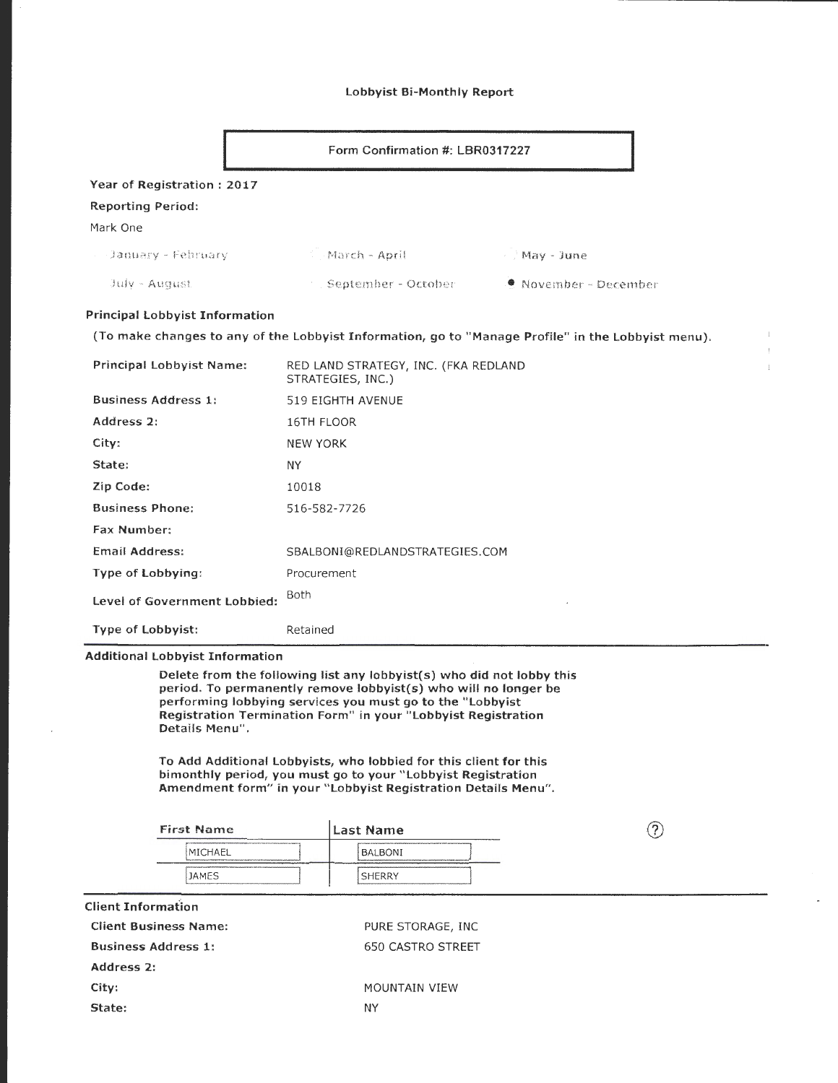#### lobbyist Bi-Monthly Report

|                                       | Form Confirmation #: LBR0317227                                                                    |                               |  |
|---------------------------------------|----------------------------------------------------------------------------------------------------|-------------------------------|--|
| Year of Registration: 2017            |                                                                                                    |                               |  |
| <b>Reporting Period:</b>              |                                                                                                    |                               |  |
| Mark One                              |                                                                                                    |                               |  |
| - January - February                  | March - April                                                                                      | May - June                    |  |
| July - August                         | September - October                                                                                | $\bullet$ November - December |  |
| <b>Principal Lobbyist Information</b> |                                                                                                    |                               |  |
|                                       | (To make changes to any of the Lobbyist Information, go to "Manage Profile" in the Lobbyist menu). |                               |  |
| <b>Principal Lobbyist Name:</b>       | RED LAND STRATEGY, INC. (FKA REDLAND<br>STRATEGIES, INC.)                                          |                               |  |
| <b>Business Address 1:</b>            | 519 EIGHTH AVENUE                                                                                  |                               |  |
| Address 2:                            | 16TH FLOOR                                                                                         |                               |  |

| Address 2:                   | 16TH FLOOR                     |
|------------------------------|--------------------------------|
| City:                        | <b>NEW YORK</b>                |
| State:                       | ΝY                             |
| Zip Code:                    | 10018                          |
| <b>Business Phone:</b>       | 516-582-7726                   |
| <b>Fax Number:</b>           |                                |
| Email Address:               | SBALBONI@REDLANDSTRATEGIES.COM |
| Type of Lobbying:            | Procurement                    |
| Level of Government Lobbied: | Both                           |
| <b>Type of Lobbyist:</b>     | Retained                       |

#### Additional lobbyist Information

Delete from the following list any lobbyist(s) who did not lobby this period. To permanently remove lobbyist(s) who will no longer be performing lobbying services you must go to the "lobbyist Registration Termination Form" in your " Lobbyist Registration Details Menu".

To Add Additional lobbyists, who lobbied for this client for this bimonthly period, you must go to your "Lobbyist Registration Amendment form" in your "Lobbyist Registration Details Menu".

| <b>First Name</b><br><b><i>Continental Continent</i></b> | Last Name <br>_______                                                                                                                |  |
|----------------------------------------------------------|--------------------------------------------------------------------------------------------------------------------------------------|--|
| <b>IMICHAEL</b>                                          | The Continuum conditions the control of the Control of the Continuum and Continuum Control of Control of Continuum<br><b>BALBONI</b> |  |
| <b>JAMES</b>                                             | ________________<br>--------------<br><b>SHERRY</b>                                                                                  |  |
|                                                          |                                                                                                                                      |  |

| <b>Client Information</b> |
|---------------------------|
|                           |

| <b>Client Business Name:</b> | PURE STORAGE, INC.   |
|------------------------------|----------------------|
| <b>Business Address 1:</b>   | 650 CASTRO STREET    |
| Address 2:                   |                      |
| City:                        | <b>MOUNTAIN VIEW</b> |
| State:                       | NΥ                   |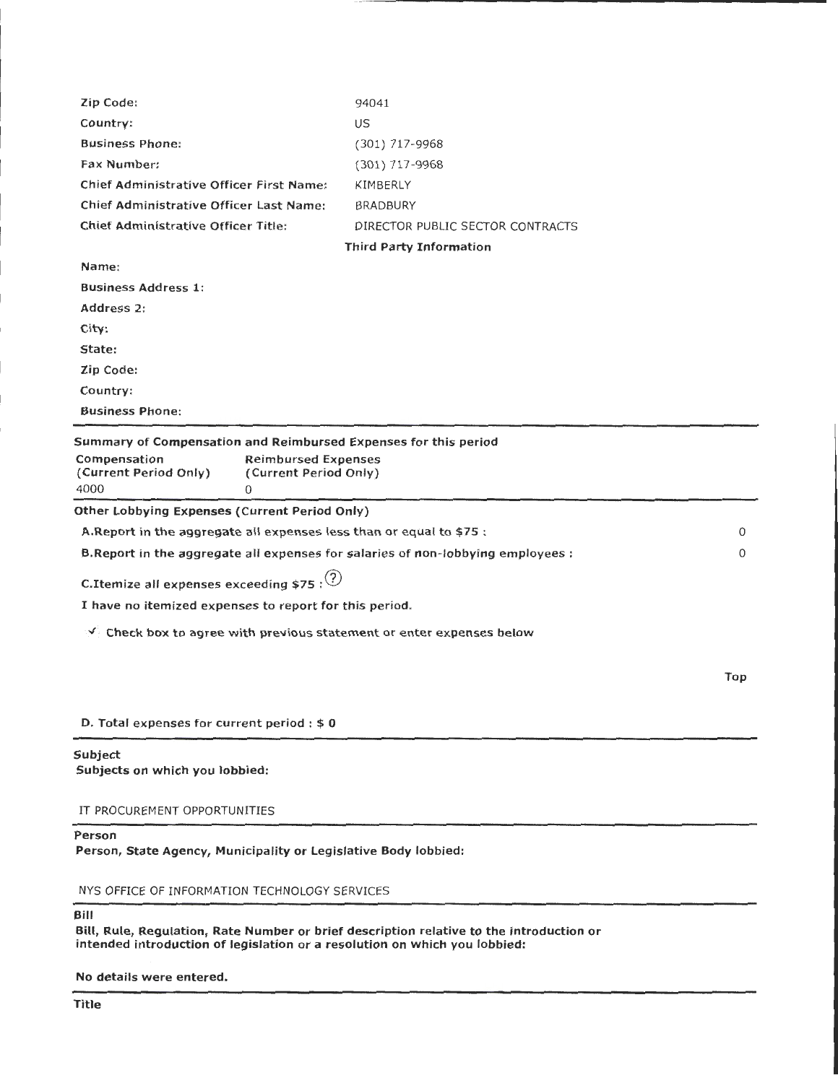| Zip Code:                                                                                                                                                                    | 94041                            |     |
|------------------------------------------------------------------------------------------------------------------------------------------------------------------------------|----------------------------------|-----|
| Country:                                                                                                                                                                     | US                               |     |
| <b>Business Phone:</b>                                                                                                                                                       | (301) 717-9968                   |     |
| Fax Number:                                                                                                                                                                  | $(301)$ 717-9968                 |     |
| <b>Chief Administrative Officer First Name:</b>                                                                                                                              | KIMBERLY                         |     |
| <b>Chief Administrative Officer Last Name:</b>                                                                                                                               | <b>BRADBURY</b>                  |     |
| <b>Chief Administrative Officer Title:</b>                                                                                                                                   | DIRECTOR PUBLIC SECTOR CONTRACTS |     |
|                                                                                                                                                                              | <b>Third Party Information</b>   |     |
| Name:                                                                                                                                                                        |                                  |     |
| <b>Business Address 1:</b>                                                                                                                                                   |                                  |     |
| Address 2:                                                                                                                                                                   |                                  |     |
| City:                                                                                                                                                                        |                                  |     |
| State:                                                                                                                                                                       |                                  |     |
| Zip Code:                                                                                                                                                                    |                                  |     |
| Country:                                                                                                                                                                     |                                  |     |
| <b>Business Phone:</b>                                                                                                                                                       |                                  |     |
| Summary of Compensation and Reimbursed Expenses for this period<br>Compensation<br><b>Reimbursed Expenses</b><br>(Current Period Only)<br>(Current Period Only)<br>4000<br>0 |                                  |     |
| Other Lobbying Expenses (Current Period Only)                                                                                                                                |                                  |     |
| A. Report in the aggregate all expenses less than or equal to \$75 :                                                                                                         |                                  | 0   |
| B. Report in the aggregate all expenses for salaries of non-lobbying employees :                                                                                             |                                  | 0   |
| C.Itemize all expenses exceeding \$75 : $(2)$                                                                                                                                |                                  |     |
| I have no itemized expenses to report for this period.                                                                                                                       |                                  |     |
| $\vee$ Check box to agree with previous statement or enter expenses below                                                                                                    |                                  |     |
|                                                                                                                                                                              |                                  | Top |
| D. Total expenses for current period : \$0                                                                                                                                   |                                  |     |
| <b>Subject</b><br>Subjects on which you lobbied:                                                                                                                             |                                  |     |
| IT PROCUREMENT OPPORTUNITIES                                                                                                                                                 |                                  |     |

# Person

Person, State Agency, Municipality or Legislative Body lobbied:

NYS OFFICE OF INFORMATION TECHNOLOGY SERVICES

## Bill

Bill, Rule, Regulation, Rate Number or brief description relative to the introduction or intended introduction of legislation or a resolution on which you lobbied:

No details were entered.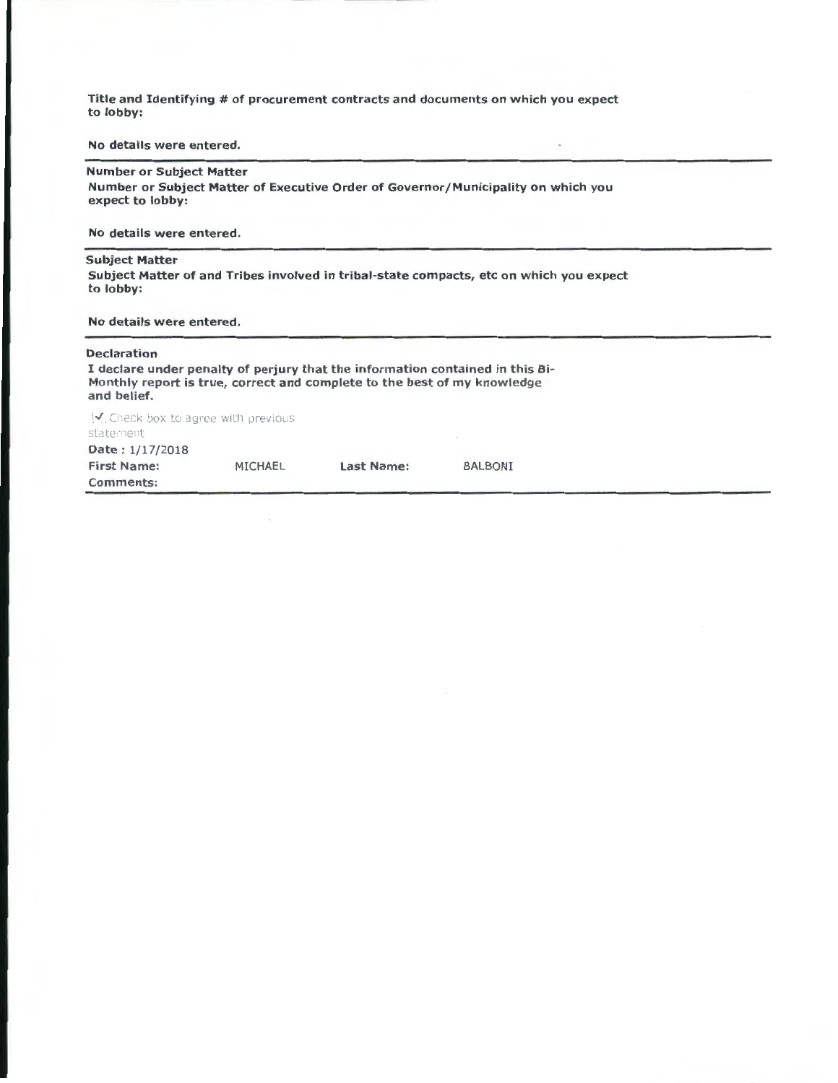Title and Identifying # of procurement contracts and documents on which you expect to lobby:

#### No details were entered.

#### Number or Subject Matter

Number or Subject Matter of Executive Order of Governor /Municipality on which you expect to lobby:

No details were entered.

#### Subject Matter

Subject Matter of and Tribes involved in tribal-state compacts, etc on which you expect to lobby:

#### No details were entered.

#### Declaration

I declare under penalty of perjury that the information contained in this Bi-Monthly report is true, correct and complete to the best of my knowledge and belief.

 $\sqrt{}$ , Check box to agree with previous statement Date: 1/17/2018

| Comments:          |                |            |                |
|--------------------|----------------|------------|----------------|
| <b>First Name:</b> | <b>MICHAEL</b> | Last Name: | <b>BALBONI</b> |
| Date: $1/17/2010$  |                |            |                |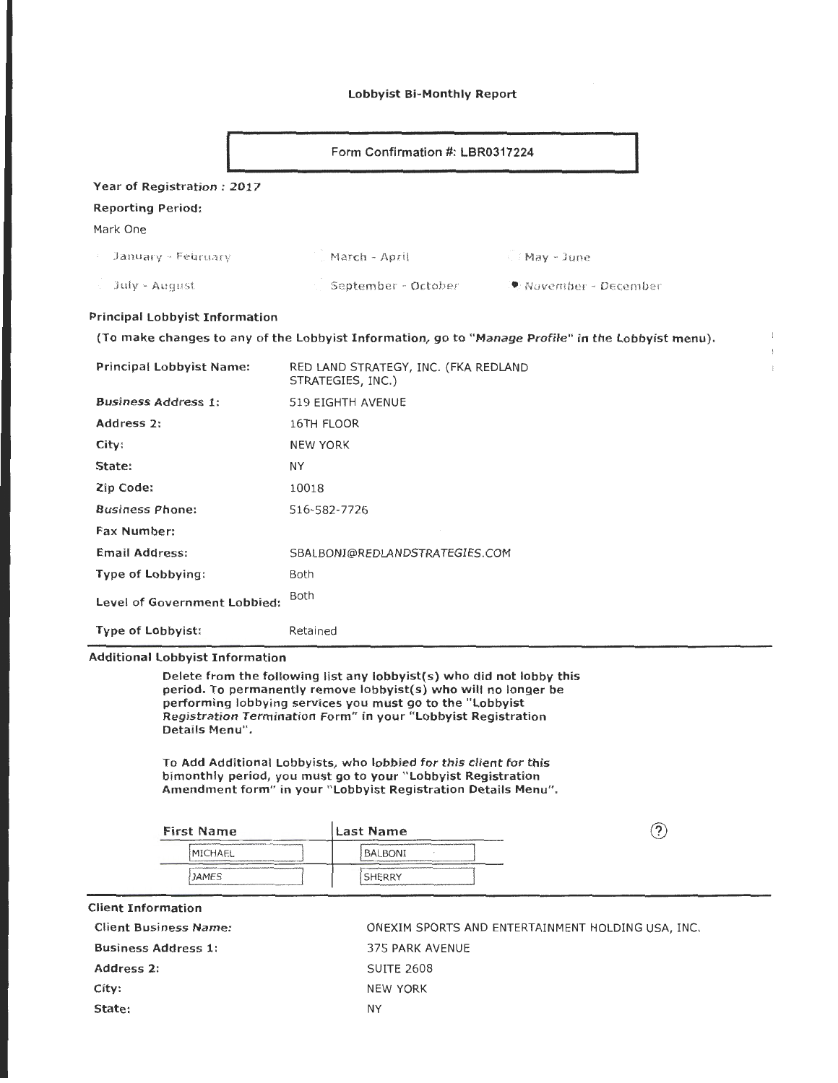#### Lobbyist Bi-Monthly Report

| Form Confirmation #: LBR0317224 |                     |                        |
|---------------------------------|---------------------|------------------------|
| Year of Registration: 2017      |                     |                        |
| <b>Reporting Period:</b>        |                     |                        |
| Mark One                        |                     |                        |
| January - February              | . March - April     | May - June             |
| July - August                   | September - October | .● November ~ December |
|                                 |                     |                        |

## Principal Lobbyist Information

(To make changes to any of the Lobbyist Information, go to "Manage Profile" in the Lobbyist menu).

| <b>Principal Lobbyist Name:</b> | RED LAND STRATEGY, INC. (FKA REDLAND<br>STRATEGIES, INC.) |
|---------------------------------|-----------------------------------------------------------|
| <b>Business Address 1:</b>      | 519 EIGHTH AVENUE                                         |
| Address 2:                      | 16TH FLOOR                                                |
| City:                           | <b>NEW YORK</b>                                           |
| State:                          | NY                                                        |
| Zip Code:                       | 10018                                                     |
| <b>Business Phone:</b>          | 516-582-7726                                              |
| <b>Fax Number:</b>              |                                                           |
| <b>Email Address:</b>           | SBALBONI@REDLANDSTRATEGIES.COM                            |
| Type of Lobbying:               | Both                                                      |
| Level of Government Lobbied:    | Both                                                      |
| <b>Type of Lobbyist:</b>        | Retained                                                  |

## Additional Lobbyist Information

Delete from the following list any lobbyist(s) who did not lobby this period. To permanently remove Iobbyist(s) who will no longer be performing lobbying services you must go to the "Lobbyist Registration Termination Form" in your "Lobbyist Registration Details Menu".

To Add Additional Lobbyists, who lobbied for this client for this bimonthly period, you must go to your " Lobbyist Registration Amendment form" in your "Lobbyist Registration Details Menu".

| <b>First Name</b>                                                                                                                                                                                                                         | lLast Name                                                                                                                                     | r |
|-------------------------------------------------------------------------------------------------------------------------------------------------------------------------------------------------------------------------------------------|------------------------------------------------------------------------------------------------------------------------------------------------|---|
| Policy and policy characterization of the transfer of the control of the control of the control of the control of the control of the control of the control of the control of the control of the control of the control of the<br>MICHAEL | application of the content of the content of the content of the content of the content of the content of the content of the content<br>BALBONI |   |
| Visit PRPM MARKASSASSASSASSASSA TAANEEYY PPPPALIPPAPAAN PARKAN MARAARASSANAAN HPPFPMA<br><b>JAMES</b>                                                                                                                                     | SHERRY<br>Material constitution of the first process and constitution of the first series of the construction of the construction              |   |

Client Information

Business Address 1: 375 PARK AVENUE Address 2: SUITE 2608 City: NEW YORK State: NY

Client Business Name:  $ORXIM$  SPORTS AND ENTERTAINMENT HOLDING USA, INC.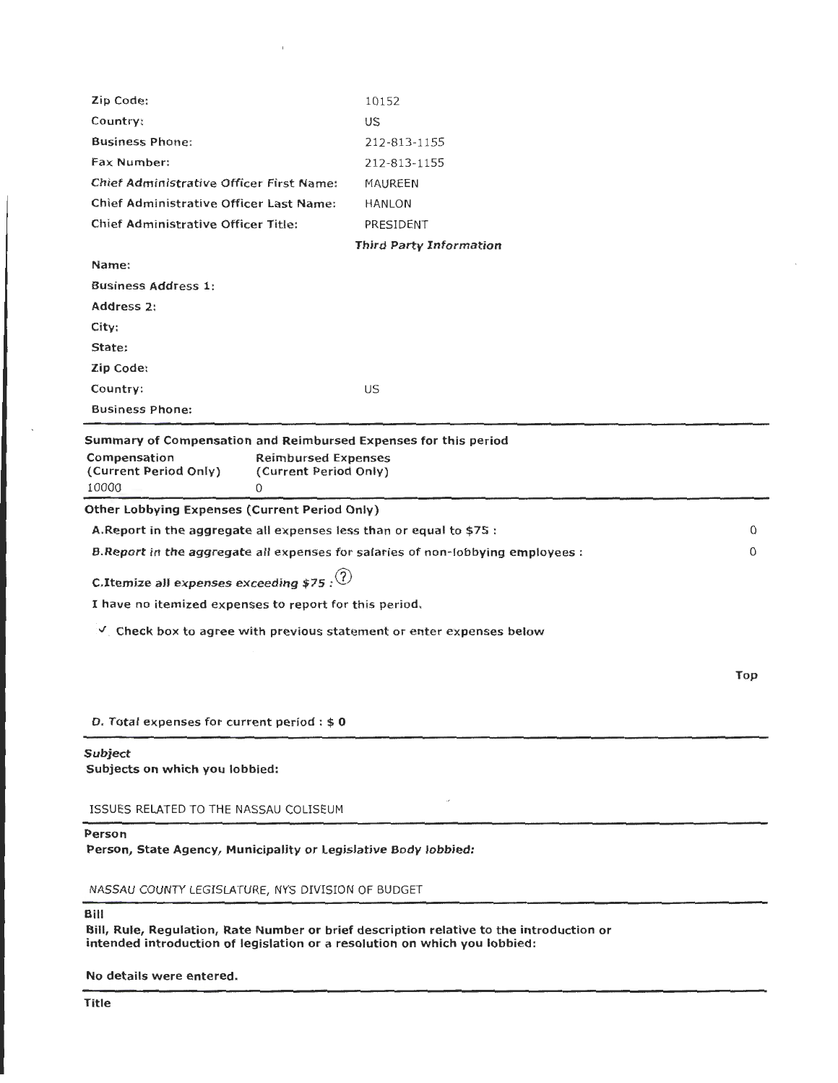| NASSAU COUNTY LEGISLATURE, NYS DIVISION OF BUDGET                                                                                                                             |                                |             |  |
|-------------------------------------------------------------------------------------------------------------------------------------------------------------------------------|--------------------------------|-------------|--|
| Person<br>Person, State Agency, Municipality or Legislative Body lobbied:                                                                                                     |                                |             |  |
| ISSUES RELATED TO THE NASSAU COLISEUM                                                                                                                                         |                                |             |  |
| <b>Subject</b><br>Subjects on which you lobbied:                                                                                                                              |                                |             |  |
| D. Total expenses for current period : \$0                                                                                                                                    |                                |             |  |
|                                                                                                                                                                               |                                | Top         |  |
| $\vee$ . Check box to agree with previous statement or enter expenses below                                                                                                   |                                |             |  |
| I have no itemized expenses to report for this period.                                                                                                                        |                                |             |  |
| C.Itemize all expenses exceeding \$75 : $(2)$                                                                                                                                 |                                |             |  |
| B. Report in the aggregate all expenses for salaries of non-lobbying employees :                                                                                              |                                | $\mathbf 0$ |  |
| A. Report in the aggregate all expenses less than or equal to \$75 :                                                                                                          |                                | 0           |  |
| Other Lobbying Expenses (Current Period Only)                                                                                                                                 |                                |             |  |
| Summary of Compensation and Reimbursed Expenses for this period<br>Compensation<br><b>Reimbursed Expenses</b><br>(Current Period Only)<br>(Current Period Only)<br>10000<br>0 |                                |             |  |
| <b>Business Phone:</b>                                                                                                                                                        |                                |             |  |
| Country:                                                                                                                                                                      | US                             |             |  |
| Zip Code:                                                                                                                                                                     |                                |             |  |
| State:                                                                                                                                                                        |                                |             |  |
| City:                                                                                                                                                                         |                                |             |  |
| Address 2:                                                                                                                                                                    |                                |             |  |
| <b>Business Address 1:</b>                                                                                                                                                    |                                |             |  |
| Name:                                                                                                                                                                         |                                |             |  |
|                                                                                                                                                                               | <b>Third Party Information</b> |             |  |
| Chief Administrative Officer Title:                                                                                                                                           | PRESIDENT                      |             |  |
| Chief Administrative Officer First Name:<br>Chief Administrative Officer Last Name:                                                                                           | MAUREEN<br><b>HANLON</b>       |             |  |
| Fax Number:                                                                                                                                                                   | 212-813-1155                   |             |  |
| <b>Business Phone:</b>                                                                                                                                                        | 212-813-1155                   |             |  |
| Country:                                                                                                                                                                      | US                             |             |  |
| Zip Code:                                                                                                                                                                     | 10152                          |             |  |

 $\bar{1}$ 

## Bill

Bill, Rule, Regulation, Rate Number or brief description relative to the introduction or intended introduction of legislation or a resolution on which you lobbied:

No details were entered.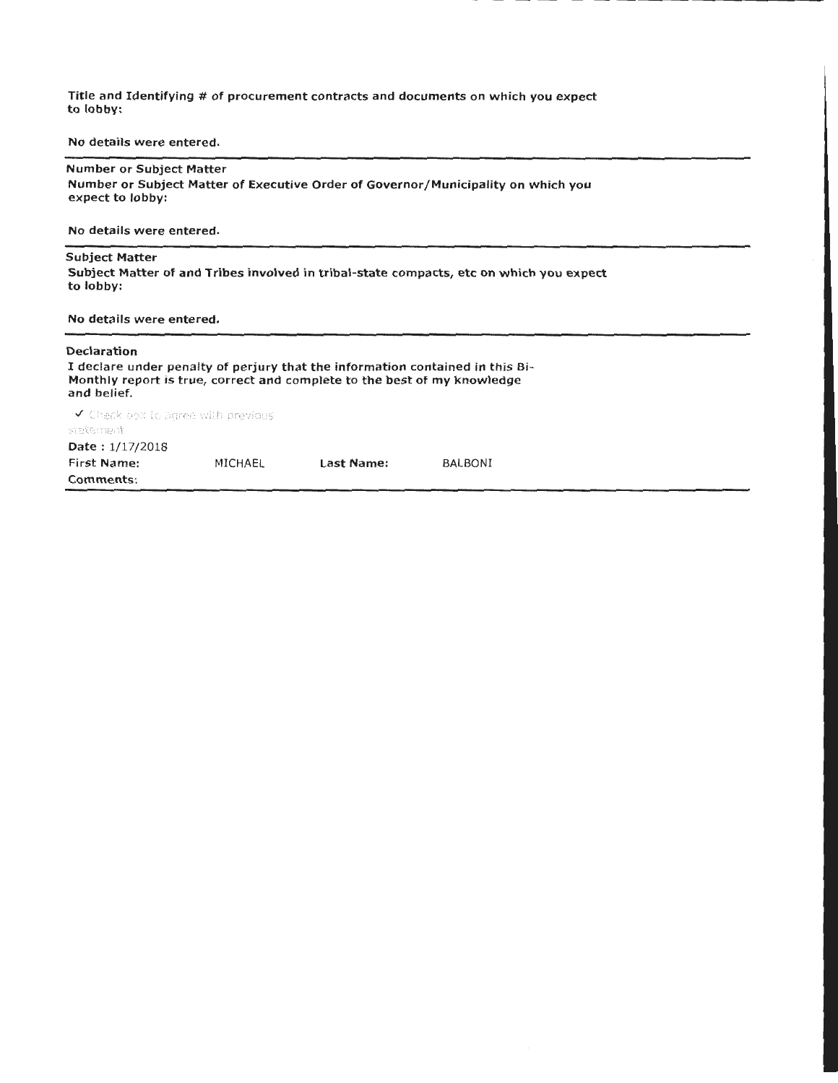Title and Identifying # of procurement contracts and documents on which you expect to lobby:

No details were entered.

Number or Subject Matter Number or Subject Matter of Executive Order of Governor/Municipality on which you expect to lobby:

No details were entered.

#### Subject Matter

Subject Matter of and Tribes involved in tribal-state compacts, etc on which you expect to lobby:

## No details were entered.

# Declaration I declare under penalty of perjury that the information contained in this Bi-Monthly report is true, correct and complete to the best of my knowledge and belief.

**√** Check pox Lc agree will previous :ctatc:::c: :t Date:  $1/17/2018$ First Name: MICHAEL Comments: last Name: BALBONI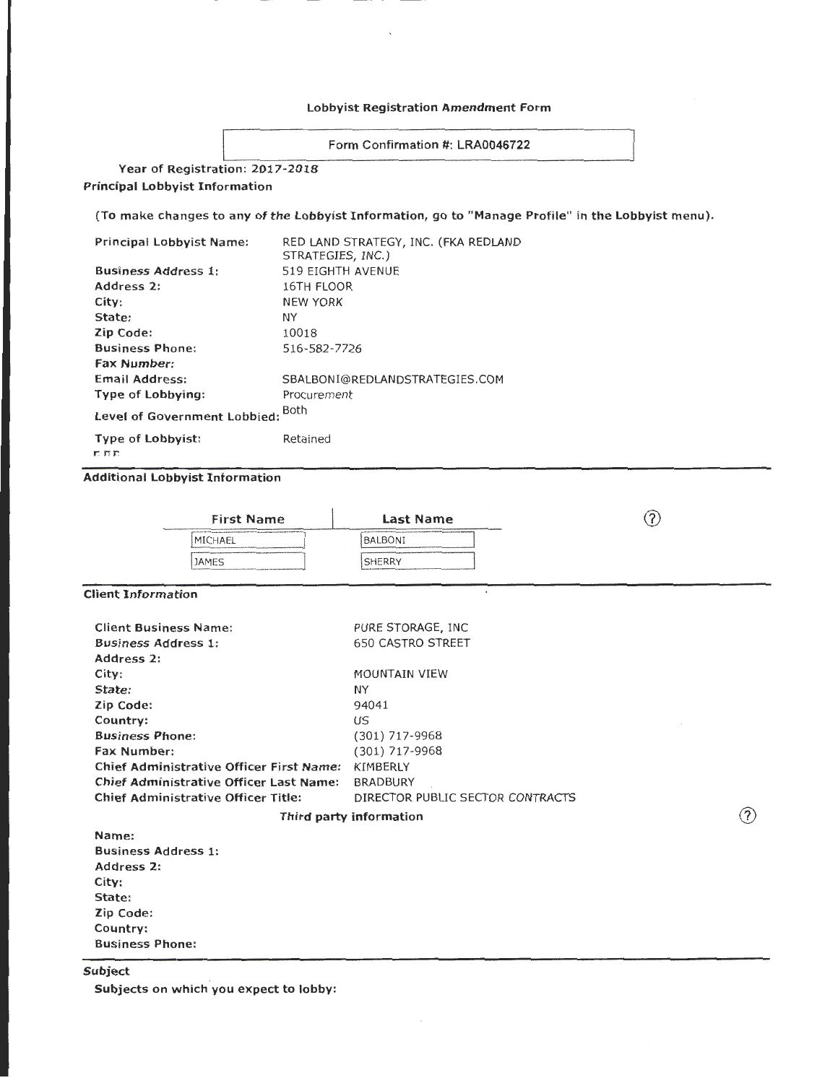## Lobbyist Registration Amendment Form

Form Confirmation #: LRA0046722

Year of Registration: 2017-2018 Principal Lobbyist Information

(To make changes to any of the Lobbyist Information, go to "Manage Profile" in the Lobbyist menu).

| Principal Lobbyist Name:        | RED LAND STRATEGY, INC. (FKA REDLAND<br>STRATEGIES, INC.) |
|---------------------------------|-----------------------------------------------------------|
| <b>Business Address 1:</b>      | 519 EIGHTH AVENUE                                         |
| Address 2:                      | 16TH FLOOR                                                |
| City:                           | <b>NEW YORK</b>                                           |
| State:                          | ΝY                                                        |
| Zip Code:                       | 10018                                                     |
| <b>Business Phone:</b>          | 516-582-7726                                              |
| <b>Fax Number:</b>              |                                                           |
| Email Address:                  | SBALBONI@REDLANDSTRATEGIES.COM                            |
| Type of Lobbying:               | Procurement                                               |
| Level of Government Lobbied:    | <b>Both</b>                                               |
| <b>Type of Lobbyist:</b><br>尼西西 | Retained                                                  |

## Additional Lobbyist Information

| <b>First Name</b>                                                                                                                                                                                                                                                                                                                                                                                | Last Name                                                                                                                                                                                                                                             |  |
|--------------------------------------------------------------------------------------------------------------------------------------------------------------------------------------------------------------------------------------------------------------------------------------------------------------------------------------------------------------------------------------------------|-------------------------------------------------------------------------------------------------------------------------------------------------------------------------------------------------------------------------------------------------------|--|
| expects you are assumed that constitutions in a constitution of the constitution of the constitution of the constitution of the constitution of the<br>MICHAEL<br>The constitution of the company of the constitution of the constitution of the constitution of the constitution of the constitution of the constitution of the constitution of the constitution of the constitution of the con | 1 . It are no entered for an extent one control or deal of the control of a change in a detection of the control of the control of the control of the control of the control of the control of the control of the control of t<br><b>BALBONI</b>      |  |
| <b>JAMES</b><br>The constitution of the complete that constitutions of the company means of the spain share at the material constant                                                                                                                                                                                                                                                             | <b>SHERRY</b><br><b>RECOUVER THE REPORT OF RECOUVER AND LODGED AT A STATE OF A STATE OF A STATE OF A STATE OF A STATE OF A STATE OF A STATE OF A STATE OF A STATE OF A STATE OF A STATE OF A STATE OF A STATE OF A STATE OF A STATE OF A STATE OF</b> |  |
|                                                                                                                                                                                                                                                                                                                                                                                                  |                                                                                                                                                                                                                                                       |  |

 $\circled{?}$ 

Client Information

| <b>Client Business Name:</b>                   | PURE STORAGE, INC                |
|------------------------------------------------|----------------------------------|
| <b>Business Address 1:</b>                     | <b>650 CASTRO STREET</b>         |
| Address 2:                                     |                                  |
| City:                                          | <b>MOUNTAIN VIEW</b>             |
| State:                                         | ΝY                               |
| Zip Code:                                      | 94041                            |
| Country:                                       | US                               |
| <b>Business Phone:</b>                         | (301) 717-9968                   |
| <b>Fax Number:</b>                             | (301) 717-9968                   |
| Chief Administrative Officer First Name:       | KIMBERLY                         |
| <b>Chief Administrative Officer Last Name:</b> | <b>BRADBURY</b>                  |
| Chief Administrative Officer Title:            | DIRECTOR PUBLIC SECTOR CONTRACTS |
|                                                | Third party information          |
| Name:                                          |                                  |

Business Address 1: Address 2: City: State: Zip Code: Country: Business Phone:

Subject

Subjects on which you expect to lobby: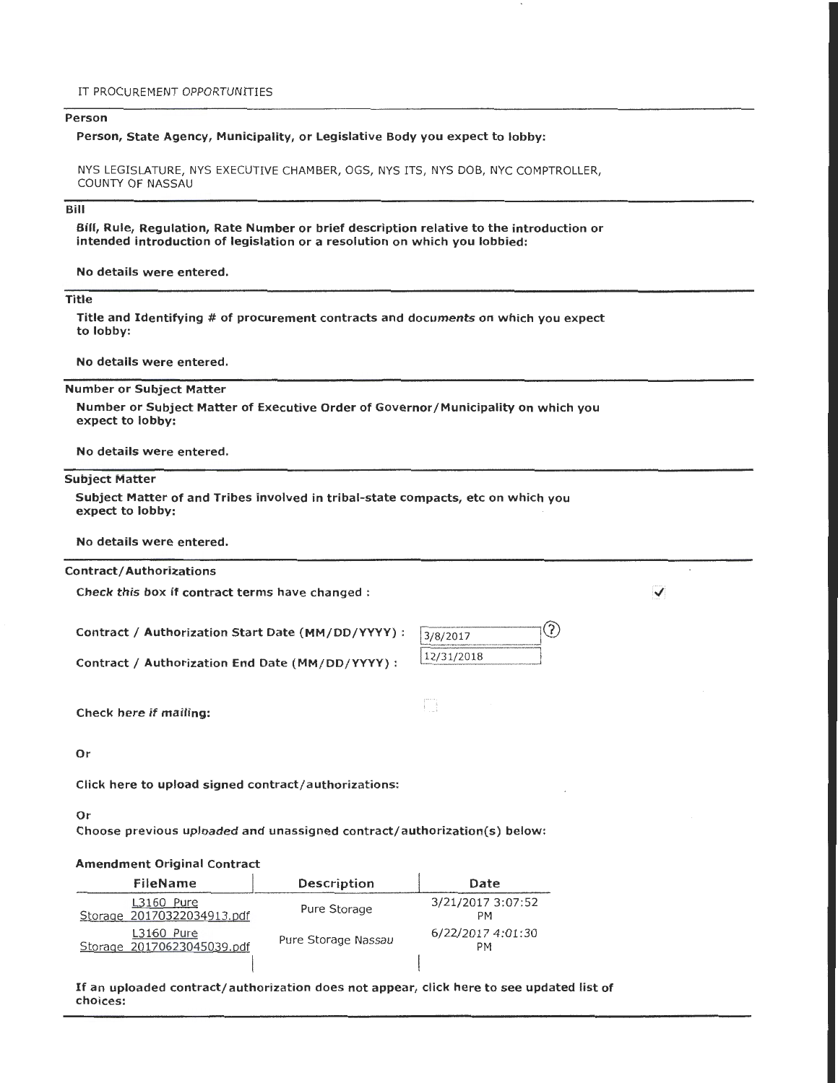## Person

## Person, State Agency, Municipality, or Legislative Body you expect to lobby:

NYS LEGISLATURE, NYS EXECUTIVE CHAMBER, OGS, NYS ITS, NYS DOB, NYC COMPTROLLER, COUNTY OF NASSAU

## Bill

Bill, Rule, Regulation, Rate Number or brief description relative to the introduction or intended introduction of legislation or a resolution on which you lobbied:

No details were entered.

## Title

Title and Identifying # of procurement contracts and documents on which you expect to lobby:

No details were entered.

Number or Subject Matter

Number or Subject Matter of Executive Order of Governor/Municipality on which you expect to lobby:

No details were entered.

#### Subject Matter

Subject Matter of and Tribes involved in tribal-state compacts, etc on which you expect to lobby:

No details were entered.

#### Contract/ Authorizations

Check this box if contract terms have changed :

Contract / Authorization Start Date (MM/DD/YYYY) :

Contract / Authorization End Date (MM/DD/YYYY) :

| 3/8/2017   |  |
|------------|--|
| 12/31/2018 |  |

B

✓

Check here if mailing:

Or

Click here to upload signed contract/authorizations:

## Or

Choose previous uploaded and unassigned contract/authorization(s) below:

#### Amendment Original Contract

| FileName                                   | Description         | Date                           |
|--------------------------------------------|---------------------|--------------------------------|
| L3160 Pure<br>Storage 20170322034913.pdf   | Pure Storage        | 3/21/2017 3:07:52<br><b>PM</b> |
| $L3160$ Pure<br>Storage 20170623045039.pdf | Pure Storage Nassau | 6/22/2017 4:01:30<br><b>PM</b> |
|                                            |                     |                                |

If an uploaded contract/authorization does not appear, click here to see updated list of choices: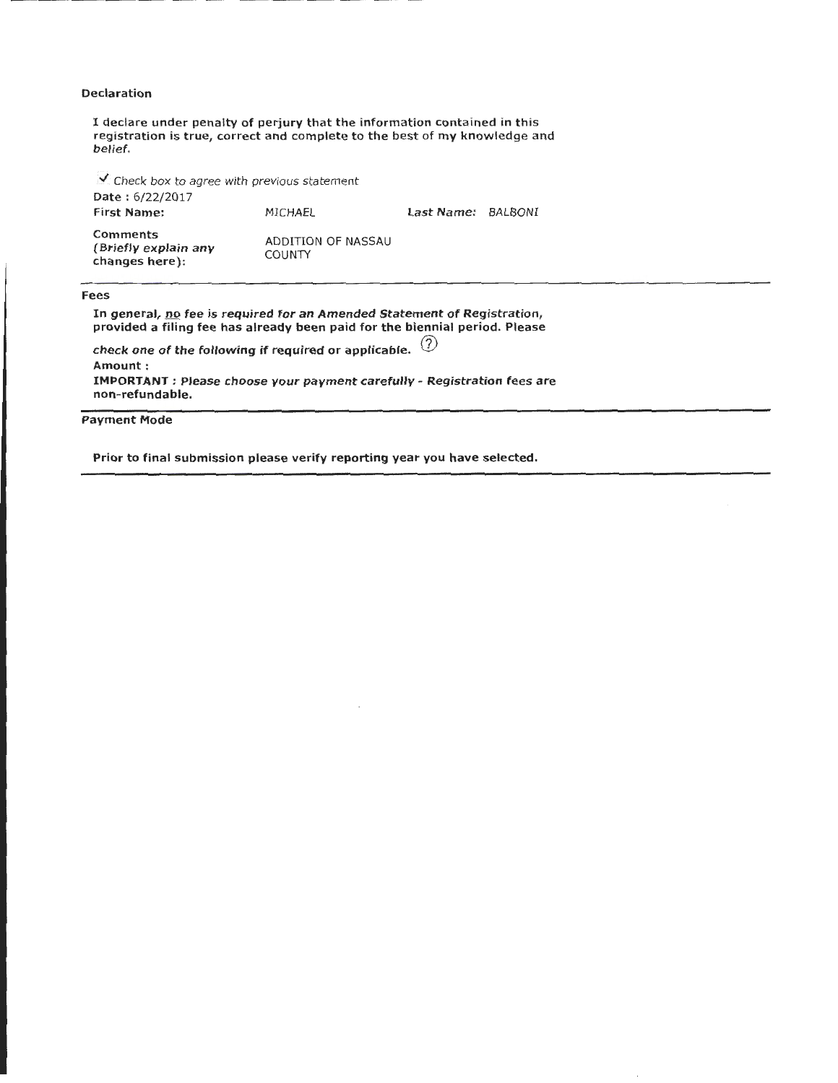## Declaration

I declare under penalty of perjury that the information contained in this registration is true, correct and complete to the best of my knowledge and belief .

 $\mathcal{L}$  Check box to agree with previous statement Date: 6/22/2017 First Name: **Comments** (Briefly explain any changes here): MICHAEL ADDITION OF NASSAU COUNTY last Name: BALBONI

Fees

In general, no fee is required for an Amended Statement of Registration, provided a filing fee has already been paid for the biennial period. Please check one of the following if required or applicable.  $\binom{?}{?}$ Amount : IMPORTANT: Please choose your payment carefully- Registration fees are non-refundable.

Payment Mode

Prior to final submission please verify reporting year you have selected.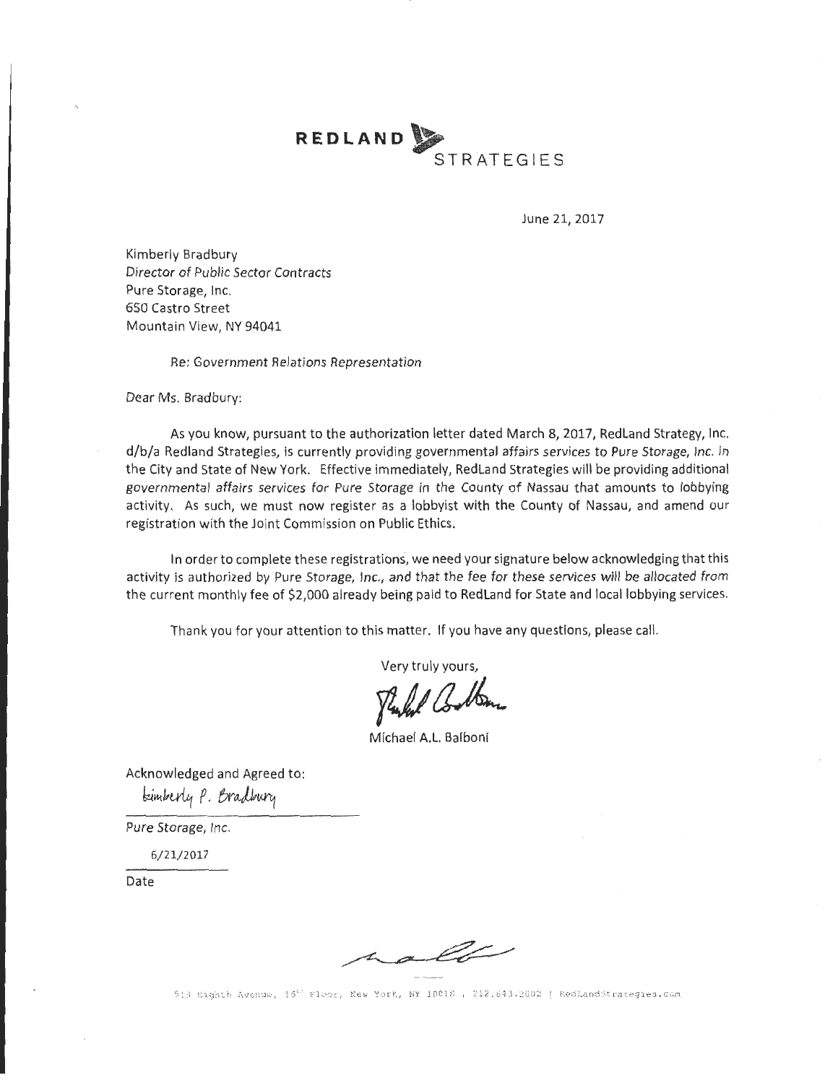**REDLAND** ~ . **STRATEGIES** 

June 21, 2017

Kimberly Bradbury Director of Public Sector Contracts Pure Storage, Inc. 650 Castro Street Mountain View, NY 94041

Re: Government Relations Representation

Dear Ms. Bradbury:

As you know, pursuant to the authorization letter dated March 8, 2017, Redland Strategy, Inc. d/b/a Redland Strategies, is currently providing governmental affairs services to Pure Storage, Inc. in the City and State of New York. Effective immediately, RedLand Strategies will be providing additional governmental affairs services for Pure Storage in the County of Nassau that amounts to lobbying activity. As such, we must now register as a lobbyist with the County of Nassau, and amend our registration with the Joint Commission on Public Ethics.

In order to complete these registrations, we need your signature below acknowledging that this activity is authorized by Pure Storage, Inc., and that the fee for these services will be allocated from the current monthly fee of \$2,000 already being paid to Redland for State and local lobbying services.

Thank you for your attention to this matter. If you have any questions, please call.

Very truly yours,

*yzJiaA* 

Michael A.l. Balboni

Acknowledged and Agreed to: tainberly P. Bradbury

Pure Storage, Inc.

6/21/2017

Date

hall

510 Bighth Avenue, 16<sup>th</sup> Floor, New York, NY 10018 , 212.643.2002 | RedLandStrategies.com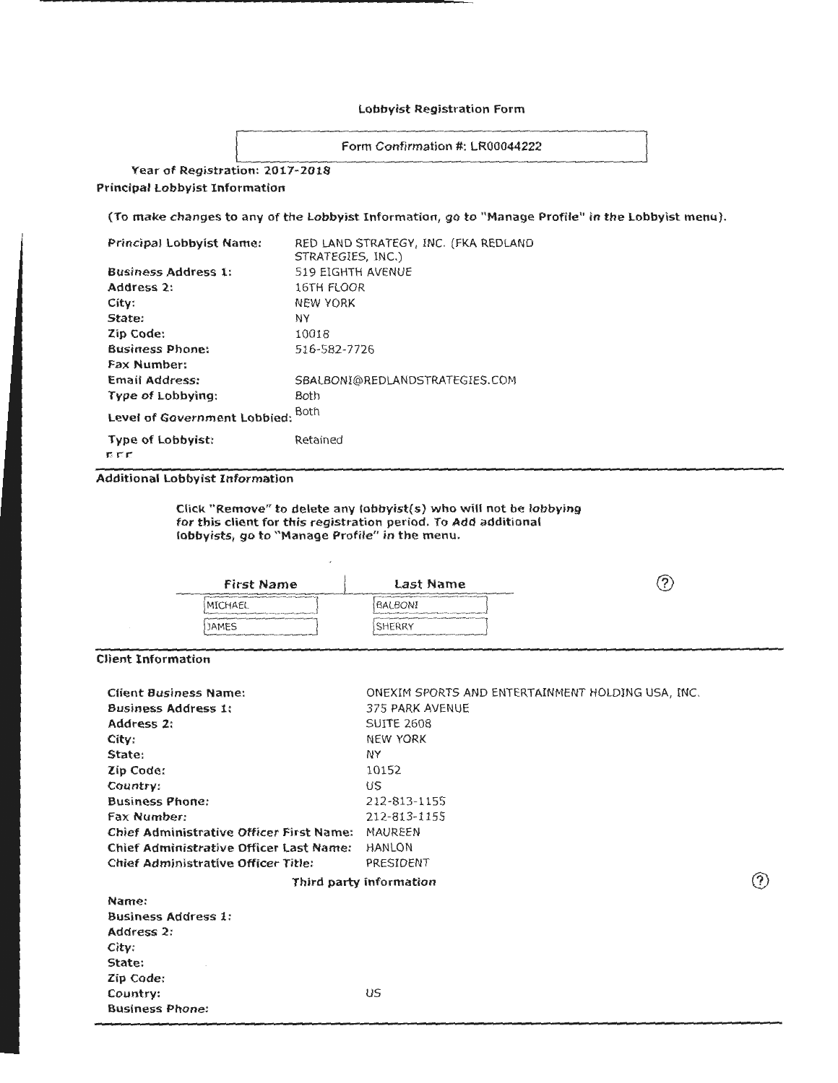#### Lobbyist Registration Form

Form Confirmation #: LR00044222

Year of Registration: 2017-2018

Principal Lobbyist Information

(To make changes to any of the Lobbyist Information, go to "Manage Profile" in the Lobbyist menu).

| Principal Lobbyist Name:          | RED LAND STRATEGY, INC. (FKA REDLAND<br>STRATEGIES, INC.) |
|-----------------------------------|-----------------------------------------------------------|
| <b>Business Address 1:</b>        | 519 EIGHTH AVENUE                                         |
| Address 2:                        | 16TH FLOOR                                                |
| City:                             | <b>NEW YORK</b>                                           |
| State:                            | NΥ                                                        |
| Zip Code:                         | 10018                                                     |
| <b>Business Phone:</b>            | 516-582-7726                                              |
| Fax Number:                       |                                                           |
| <b>Email Address:</b>             | SBALBONI@REDLANDSTRATEGIES.COM                            |
| Type of Lobbying:                 | <b>Both</b>                                               |
| Level of Government Lobbied:      | Both                                                      |
| <b>Type of Lobbyist:</b><br>r c c | Retained                                                  |

Additional Lobbyist Information

Click "Remove" to delete any lobbyist(s) who will not be lobbying for this client for this registration period. To Add additional lobbyists, go to "Manage Profile" in the menu.

| <b>First Name</b>                                                                                                                                                                                                                                              | Last Name                                                                                                                                                                                                                                                          | 'n<br>سيد |
|----------------------------------------------------------------------------------------------------------------------------------------------------------------------------------------------------------------------------------------------------------------|--------------------------------------------------------------------------------------------------------------------------------------------------------------------------------------------------------------------------------------------------------------------|-----------|
| www.com/content/and/organizations/define additional and any provides the discussion of the Advertising on the<br>MICHAEL<br>The former of the first that the construction of the constitution of the change of the Country Parties and it of the United States | AND LOCATED CONTRACT AND RELEASED AT THE CONTRACT OF THE REPORT OF THE REPORT OF THE REPORT OF THE REPORT OF THE REPORT OF THE REPORT OF THE REPORT OF THE REPORT OF THE REPORT OF THE REPORT OF THE REPORT OF THE REPORT OF T<br>BALBONI                          |           |
| <b>JAMES</b><br>Application of concentration of the party concentration company disposals and the control of the problem of the con-                                                                                                                           | <b>CONTRACTOR CONTRACTOR IN A DISTURBANCE OF A STATE OF A STATE OF A STATE OF A STATE OF A STATE OF A STATE OF A</b><br>SHERRY<br>The process of the dealership and the process of the photographs of the photographs of the process of the process of the process |           |

Client Information

| <b>Client Business Name:</b>                    | ONEXIM SPORTS AND ENTERTAINMENT HOLDING USA, INC. |     |
|-------------------------------------------------|---------------------------------------------------|-----|
| <b>Business Address 1:</b>                      | 375 PARK AVENUE                                   |     |
| Address 2:                                      | <b>SUITE 2608</b>                                 |     |
| City:                                           | <b>NEW YORK</b>                                   |     |
| State:                                          | NY                                                |     |
| Zip Code:                                       | 10152                                             |     |
| Country:                                        | US                                                |     |
| <b>Business Phone:</b>                          | 212-813-1155                                      |     |
| <b>Fax Number:</b>                              | 212-813-1155                                      |     |
| <b>Chief Administrative Officer First Name:</b> | MAUREEN                                           |     |
| <b>Chief Administrative Officer Last Name:</b>  | <b>HANLON</b>                                     |     |
| Chief Administrative Officer Title:             | PRESIDENT                                         |     |
|                                                 | Third party information                           | (?) |
| Name:                                           |                                                   |     |
| <b>Business Address 1:</b>                      |                                                   |     |
| Address 2:                                      |                                                   |     |
| City:                                           |                                                   |     |
| State:                                          |                                                   |     |
| Zip Code:                                       |                                                   |     |
| Country:                                        | US                                                |     |
| <b>Business Phone:</b>                          |                                                   |     |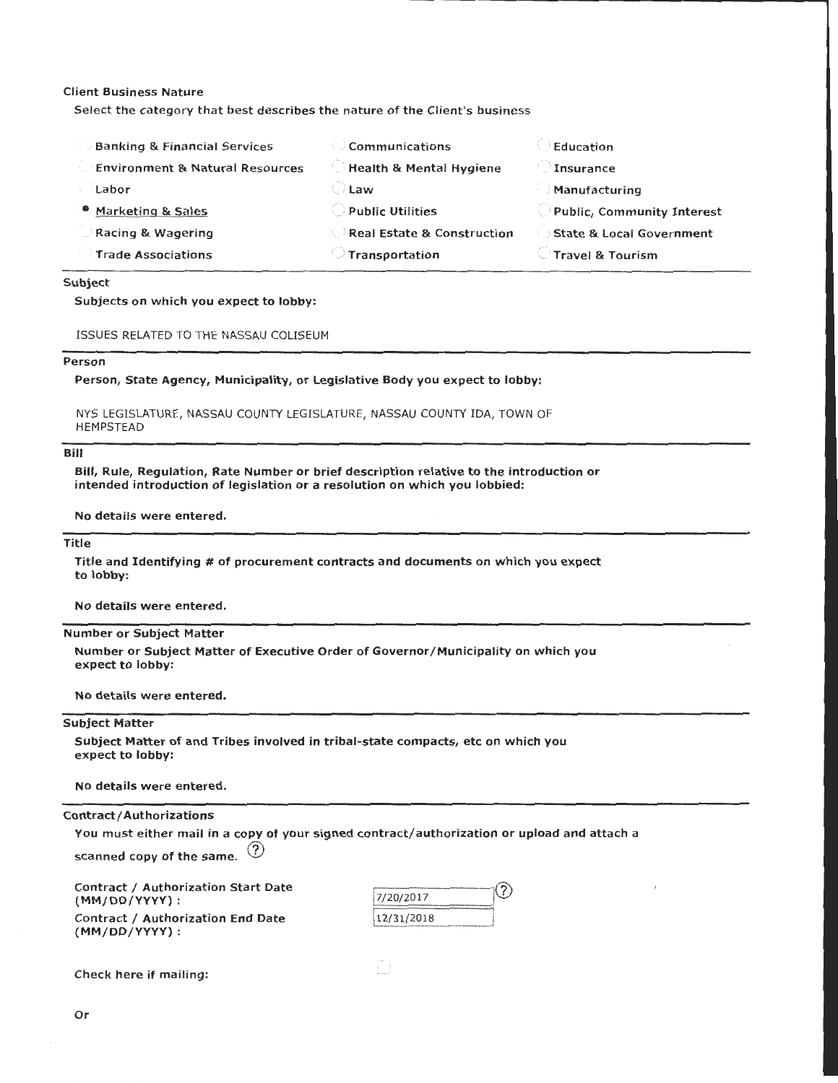## Client Business Nature

Select the category that best describes the nature of the Client's business

| <b>Banking &amp; Financial Services</b>    | Communications                        | Education                  |
|--------------------------------------------|---------------------------------------|----------------------------|
| <b>Environment &amp; Natural Resources</b> | Health & Mental Hygiene               | Insurance                  |
| Labor                                      | <b>Law</b>                            | Manufacturing              |
| <sup>®</sup> Marketing & Sales             | $\cup$ Public Utilities.              | Public, Community Interest |
| Racing & Wagering                          | <b>Real Estate &amp; Construction</b> | State & Local Government   |
| <b>Trade Associations</b>                  | $\supset$ Transportation              | Travel & Tourism           |

#### Subject

## Subjects on which you expect to lobby:

| ISSUES RELATED TO THE NASSAU COLISEUM |
|---------------------------------------|
|---------------------------------------|

## Person

Person, State Agency, Municipality, or Legislative Body you expect to lobby:

NYS LEGISLATURE, NASSAU COUNTY LEGISLATURE, NASSAU COUNTY IDA, TOWN OF HEMPSTEAD

## Bill

Bill, Rule, Regulation, Rate Number or brief description relative to the introduction or intended introduction of legislation or a resolution on which you lobbied:

No details were entered.

# Title

Title and Identifying # of procurement contracts and documents on which you expect to lobby:

No details were entered.

## Number or Subject Matter

Number or Subject Matter of Executive Order of Governor/Municipality on which you expect to lobby:

No details were entered.

## Subject Matter

Subject Matter of and Tribes involved in tribal-state compacts, etc on which you expect to lobby:

No details were entered.

Contract/ Authorizations

You must either mail in a copy of your signed contract/authorization or upload and attach a

scanned copy of the same.  $(2)$ 

Contract / Authorization Start Date (MM/DD/YYYY) : Contract / Authorization End Date {MM/DD/YYYY) :

| 7/20/2017  |  |
|------------|--|
| 12/31/2018 |  |

Check here if mailing: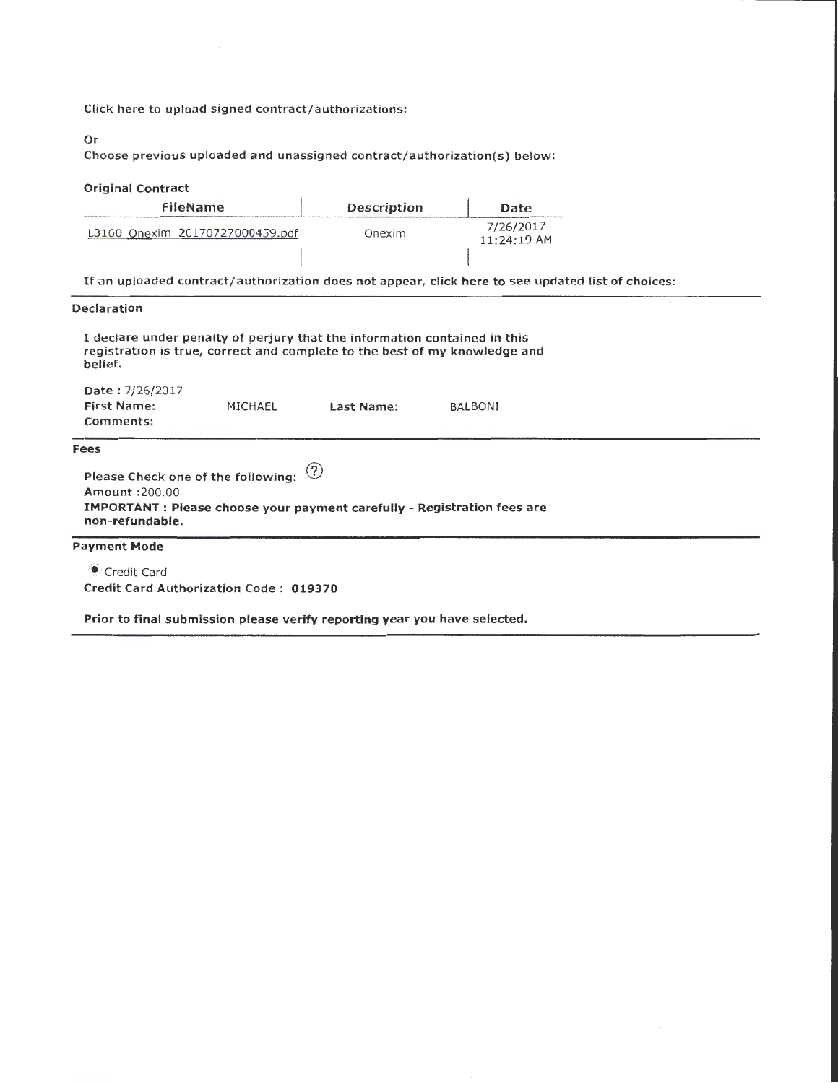Click here to upload signed contract/authorizations:

# Or

Choose previous uploaded and unassigned contract/authorization(s) below:

## Original Contract

| FileName                        | Description | Date                       |
|---------------------------------|-------------|----------------------------|
| L3160 Onexim 20170727000459.pdf | Onexim      | 7/26/2017<br>$11:24:19$ AM |
|                                 |             |                            |

If an uploaded contract/authorization does not appear, click here to see updated list of choices:

## Declaration

| belief.                                           |         | I declare under penalty of perjury that the information contained in this | registration is true, correct and complete to the best of my knowledge and      |  |
|---------------------------------------------------|---------|---------------------------------------------------------------------------|---------------------------------------------------------------------------------|--|
| <b>Date: 7/26/2017</b>                            |         |                                                                           |                                                                                 |  |
| <b>First Name:</b>                                | MICHAEL | Last Name:                                                                | <b>BALBONI</b>                                                                  |  |
| Comments:                                         |         |                                                                           |                                                                                 |  |
| Fees                                              |         |                                                                           |                                                                                 |  |
| Please Check one of the following:                |         | $\circled{3}$                                                             |                                                                                 |  |
| <b>Amount:200.00</b>                              |         |                                                                           |                                                                                 |  |
| non-refundable.                                   |         |                                                                           | <b>IMPORTANT</b> : Please choose your payment carefully - Registration fees are |  |
| <b>Payment Mode</b>                               |         |                                                                           |                                                                                 |  |
| $\bullet$ $\bullet$ $\bullet$ $\bullet$ $\bullet$ |         |                                                                           |                                                                                 |  |

**Credit Card** Credit Card Authorization Code : 019370

Prior to final submission please verify reporting year you have selected.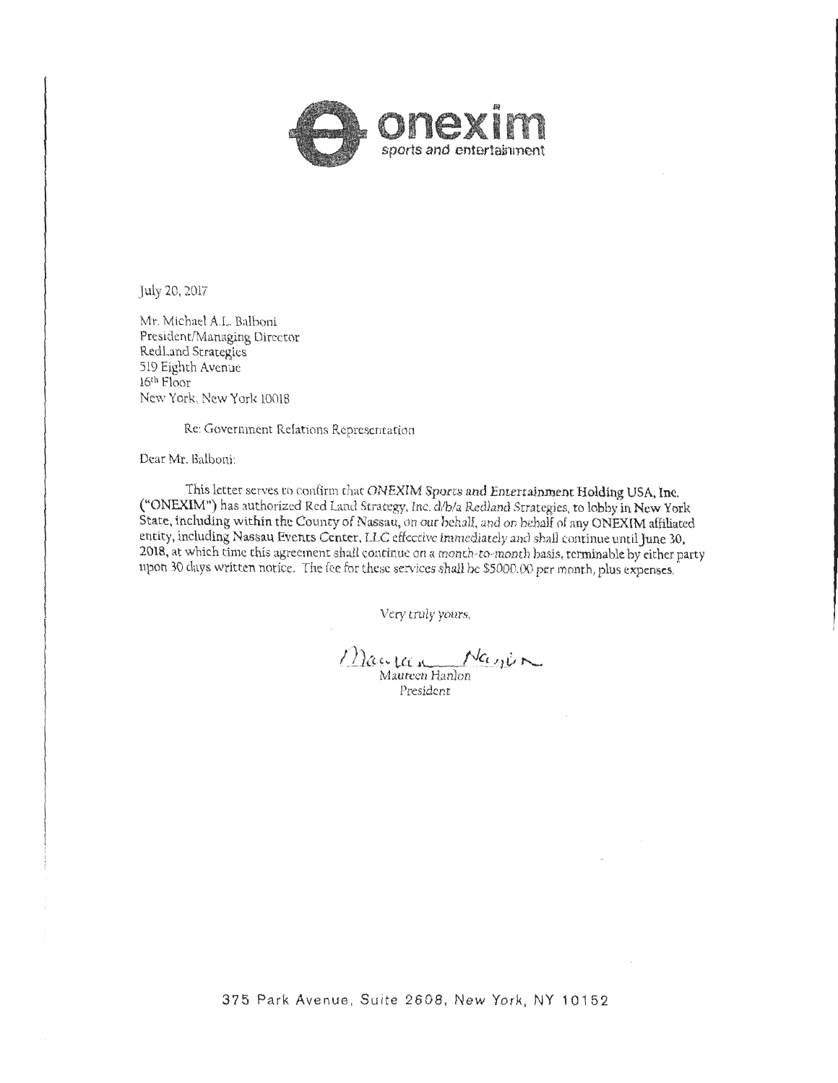

.July 20, 2017

Mr. Michael A.L. Balboni President/Managing Director RedLand Strategies 519 Eighth Avenue 16th Floor Ne\v York, New York 10018

Re: Government Relations Representation

Dear Mr. Balboni:

This letter serves to confirm that ONEXIM Sports and Entertainment Holding USA, Inc. ("ONEXIM") has authorized Red Land Strategy, Inc. d/b/a Rcdland Strategies, to lobby in New York State, including within the County of Nassau, on our behal£, and on behalf of any ONEXIM affiliated entity, including Nassau Events Center, LLC effective immediately and shall continue until June 30, 2018, at which time this agreement shall continue on a monch-to-month basis, terminable by either party upon 30 days written notice. The fee for these services shall be \$5000.00 per month, plus expenses.

Very truly yours,

 $\frac{1}{2}$ ac. La  $\frac{1}{2}$   $\frac{1}{2}$ 

President

------------

........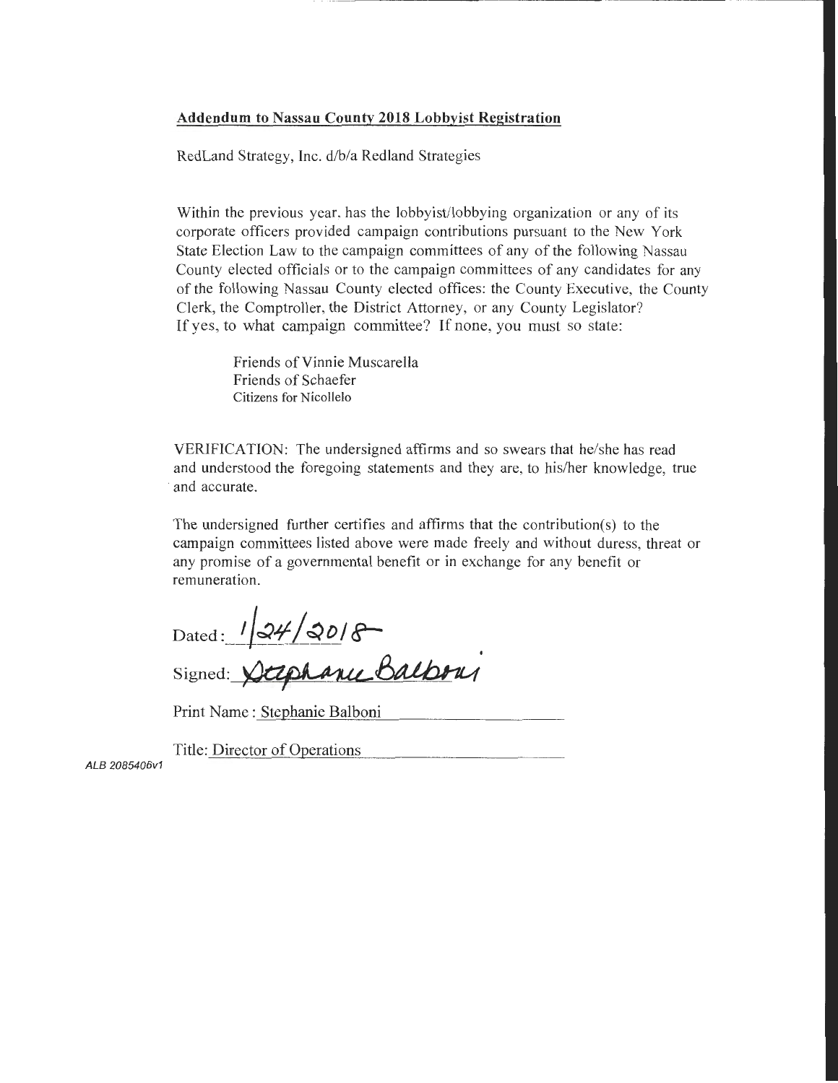# **Addendum to Nassau County 2018 Lobbyist Registration**

RedLand Strategy, Inc. d/b/a Redland Strategies

Within the previous year, has the lobbyist/lobbying organization or any of its corporate officers provided campaign contributions pursuant to the New York State Election Law to the campaign committees of any of the following Nassau County elected officials or to the campaign committees of any candidates for any of the following Nassau County elected offices: the County Executive, the County Clerk, the Comptroller, the District Attorney, or any County Legislator? If yes, to what campaign committee? If none, you must so state:

> Friends of Vinnie Muscarella Friends of Schaefer Citizens for Nicollelo

VERIFICATION: The undersigned affirms and so swears that he/she has read and understood the foregoing statements and they are, to his/her knowledge, true and accurate.

The undersigned further certifies and affirms that the contribution(s) to the campaign committees listed above were made freely and without duress, threat or any promise of a governmental benefit or in exchange for any benefit or remuneration.

 $_{\rm Dated}$ :  $/|\mathcal{QH}/\mathcal{Q}$ *D*/ $\mathcal{S}^-$ 

Signed: Stephanic Balbour

Print Name : Stephanie Balboni

Title: Director of Operations

ALB 2085406v1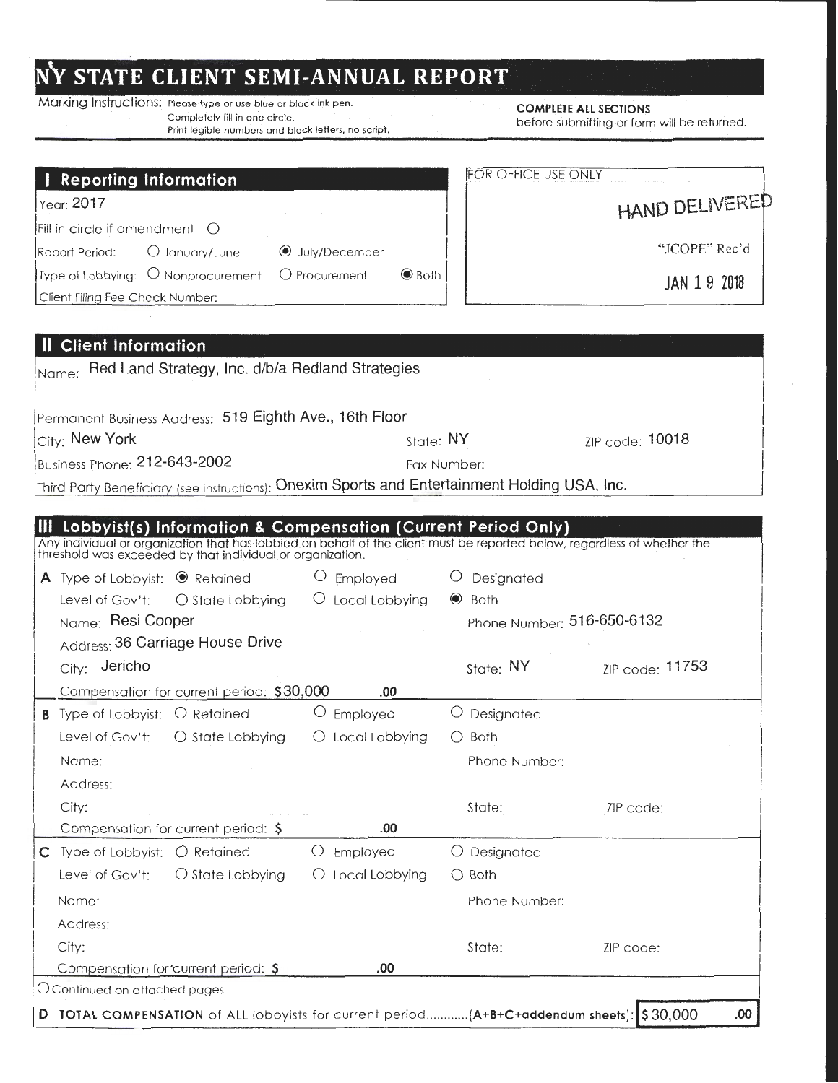# **NV STATE CLIENT SEMI-ANNUAL REPORT**

Marking Instructions: Please type or use blue or black ink pen. COMPLETE ALL SECTIONS Completely fill in one circle.<br>Print legible numbers and block letters, no script.

before submitting or form will be returned.

|                                                                                                                                                                                                                                       |                                                | <b>FOR OFFICE USE ONLY</b>      |                 |  |  |
|---------------------------------------------------------------------------------------------------------------------------------------------------------------------------------------------------------------------------------------|------------------------------------------------|---------------------------------|-----------------|--|--|
| <b>Reporting Information</b><br>Year: 2017<br>Fill in circle if amendment $\bigcirc$                                                                                                                                                  |                                                |                                 | HAND DELIVERED  |  |  |
| Report Period:<br>O January/June                                                                                                                                                                                                      | <b>●</b> July/December                         |                                 | "JCOPE" Rec'd   |  |  |
| Type of Lobbying: O Nonprocurement O Procurement                                                                                                                                                                                      | $\odot$ Both                                   |                                 |                 |  |  |
| Client Filing Fee Check Number:                                                                                                                                                                                                       |                                                | JAN 19 2018                     |                 |  |  |
|                                                                                                                                                                                                                                       |                                                |                                 |                 |  |  |
| <b>Client Information</b>                                                                                                                                                                                                             |                                                |                                 |                 |  |  |
| Nome: Red Land Strategy, Inc. d/b/a Redland Strategies                                                                                                                                                                                |                                                |                                 |                 |  |  |
| Permanent Business Address: 519 Eighth Ave., 16th Floor                                                                                                                                                                               |                                                |                                 |                 |  |  |
| City: New York                                                                                                                                                                                                                        | State: NY                                      |                                 | ZIP code: 10018 |  |  |
| Business Phone: 212-643-2002                                                                                                                                                                                                          | Fax Number:                                    |                                 |                 |  |  |
| Third Party Beneficiary (see instructions): Onexim Sports and Entertainment Holding USA, Inc.                                                                                                                                         |                                                |                                 |                 |  |  |
| Any individual or organization that has lobbied on behalf of the client must be reported below, regardless of whether the threshold was exceeded by that individual or organization.<br><b>A</b> Type of Lobbyist: $\bullet$ Retained | O Employed                                     | O Designated                    |                 |  |  |
|                                                                                                                                                                                                                                       |                                                |                                 |                 |  |  |
| Level of Gov't: $\bigcirc$ State Lobbying $\bigcirc$ Local Lobbying                                                                                                                                                                   |                                                | $\bullet$ Both                  |                 |  |  |
| Name: Resi Cooper                                                                                                                                                                                                                     |                                                | Phone Number: 516-650-6132      |                 |  |  |
| Address: 36 Carriage House Drive                                                                                                                                                                                                      |                                                |                                 |                 |  |  |
| City: Jericho                                                                                                                                                                                                                         |                                                | State: $NY$                     | ZIP code: 11753 |  |  |
| Compensation for current period: \$30,000                                                                                                                                                                                             | .00                                            |                                 |                 |  |  |
|                                                                                                                                                                                                                                       | O Employed                                     | O Designated                    |                 |  |  |
| Level of Gov't:<br>$\bigcirc$ State Lobbying                                                                                                                                                                                          | $\bigcirc$ Local Lobbying                      | $\bigcirc$ Both                 |                 |  |  |
| <b>B</b> Type of Lobbyist: $\bigcirc$ Retained<br>Name:                                                                                                                                                                               |                                                | Phone Number:                   |                 |  |  |
| Address:                                                                                                                                                                                                                              |                                                |                                 |                 |  |  |
| City:                                                                                                                                                                                                                                 |                                                | State:                          | ZIP code:       |  |  |
| Compensation for current period: \$                                                                                                                                                                                                   | .00<br>O                                       |                                 |                 |  |  |
| Level of Gov't:<br>$\bigcirc$ State Lobbying                                                                                                                                                                                          | Employed<br>Local Lobbying<br>$\left( \right)$ | O Designated<br>$\bigcirc$ Both |                 |  |  |
| Name:                                                                                                                                                                                                                                 |                                                |                                 |                 |  |  |
| <b>C</b> Type of Lobbyist: $\bigcirc$ Retained<br>Address:                                                                                                                                                                            |                                                | Phone Number:                   |                 |  |  |
| City:                                                                                                                                                                                                                                 |                                                | State:                          | ZIP code:       |  |  |

D TOTAL COMPENSATION of ALL lobbyists for current period............ (A+B+C+addendum sheets): \$30,000 .00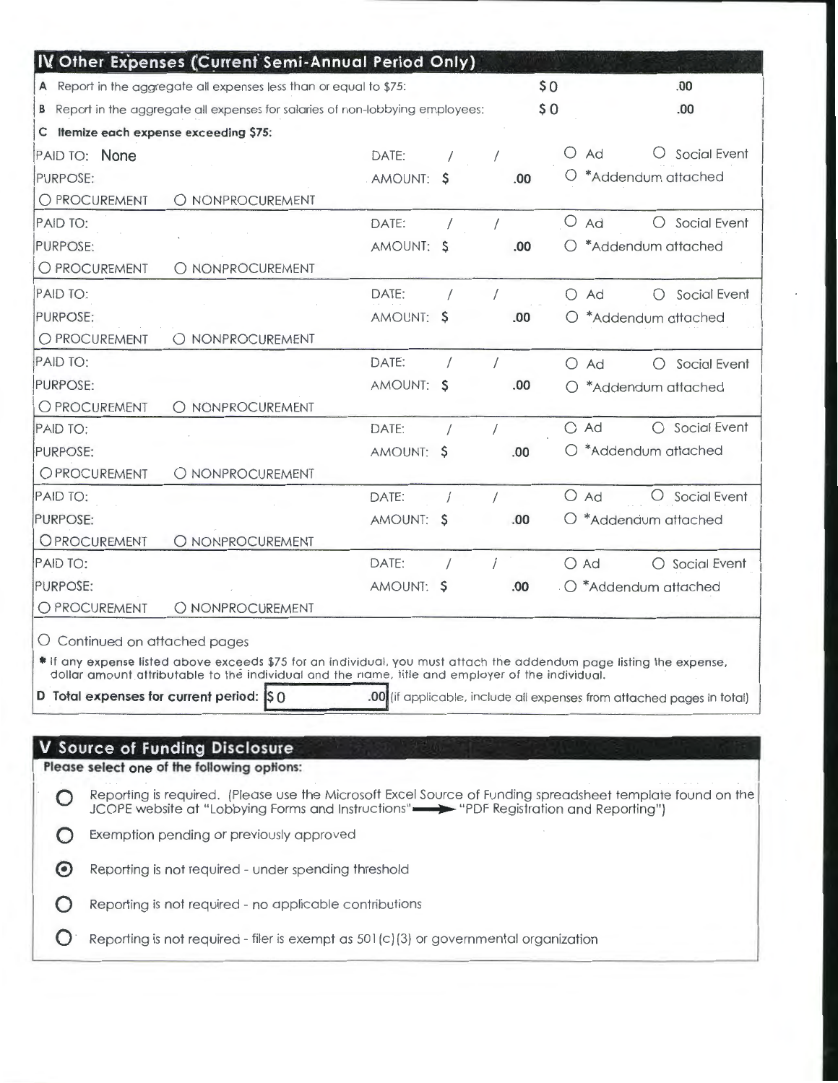|                                                                                                                                                                                                        |                                                                                | IV Other Expenses (Current Semi-Annual Period Only)                                                                  |            |  |            |      |            |                                                                        |
|--------------------------------------------------------------------------------------------------------------------------------------------------------------------------------------------------------|--------------------------------------------------------------------------------|----------------------------------------------------------------------------------------------------------------------|------------|--|------------|------|------------|------------------------------------------------------------------------|
|                                                                                                                                                                                                        |                                                                                | A Report in the aggregate all expenses less than or equal to \$75:                                                   |            |  |            | \$0  |            | .00                                                                    |
|                                                                                                                                                                                                        | B Report in the aggregate all expenses for salaries of non-lobbying employees: |                                                                                                                      |            |  |            | \$0  |            | .00                                                                    |
|                                                                                                                                                                                                        |                                                                                | C Itemize each expense exceeding \$75:                                                                               |            |  |            |      |            |                                                                        |
| PAID TO: None                                                                                                                                                                                          |                                                                                |                                                                                                                      | DATE:      |  |            |      | $\cup$     | Social Event<br>Ad                                                     |
| PURPOSE:                                                                                                                                                                                               |                                                                                |                                                                                                                      | AMOUNT: \$ |  |            | .00  |            | *Addendum attached                                                     |
| O PROCUREMENT                                                                                                                                                                                          |                                                                                | O NONPROCUREMENT                                                                                                     |            |  |            |      |            |                                                                        |
| PAID TO:                                                                                                                                                                                               |                                                                                |                                                                                                                      | DATE:      |  |            |      | $\circ$    | O Social Event<br>Ad                                                   |
| PURPOSE:                                                                                                                                                                                               |                                                                                |                                                                                                                      | AMOUNT: \$ |  |            | .00  | O          | *Addendum attached                                                     |
| O PROCUREMENT                                                                                                                                                                                          |                                                                                | O NONPROCUREMENT                                                                                                     |            |  |            |      |            |                                                                        |
| PAID TO:                                                                                                                                                                                               |                                                                                |                                                                                                                      | DATE:      |  | $\prime$   |      |            | Social Event<br>$O$ Ad<br>◯                                            |
| PURPOSE:                                                                                                                                                                                               |                                                                                |                                                                                                                      | AMOUNT: \$ |  |            | .00  |            | $O$ *Addendum attached                                                 |
| O PROCUREMENT                                                                                                                                                                                          |                                                                                | O NONPROCUREMENT                                                                                                     |            |  |            |      |            |                                                                        |
| PAID TO:                                                                                                                                                                                               |                                                                                |                                                                                                                      | DATE:      |  | $\prime$   |      | $\circ$    | Ad<br>Social Event<br>$\left(\right)$                                  |
| PURPOSE:                                                                                                                                                                                               |                                                                                |                                                                                                                      | AMOUNT: \$ |  |            | .00. | ◯          | *Addendum attached                                                     |
| O PROCUREMENT                                                                                                                                                                                          |                                                                                | O NONPROCUREMENT                                                                                                     |            |  |            |      |            |                                                                        |
| PAID TO:                                                                                                                                                                                               |                                                                                |                                                                                                                      | DATE:      |  |            |      | $\bigcirc$ | Social Event<br>Ad<br>$\bigcirc$                                       |
| PURPOSE:                                                                                                                                                                                               |                                                                                |                                                                                                                      | AMOUNT: \$ |  |            | .00  |            | $\bigcirc$ *Addendum attached                                          |
| <b>OPROCUREMENT</b>                                                                                                                                                                                    |                                                                                | O NONPROCUREMENT                                                                                                     |            |  |            |      |            |                                                                        |
| PAID TO:                                                                                                                                                                                               |                                                                                |                                                                                                                      | DATE:      |  | $\sqrt{2}$ |      |            | $O$ Ad<br>O Social Event                                               |
| PURPOSE:                                                                                                                                                                                               |                                                                                |                                                                                                                      | AMOUNT: \$ |  |            | .00  | U          | *Addendum attached                                                     |
| OPROCUREMENT                                                                                                                                                                                           |                                                                                | O NONPROCUREMENT                                                                                                     |            |  |            |      |            |                                                                        |
| PAID TO:                                                                                                                                                                                               |                                                                                |                                                                                                                      | DATE:      |  |            |      |            | ○ Social Event<br>$O$ Ad                                               |
| PURPOSE:                                                                                                                                                                                               |                                                                                |                                                                                                                      | AMOUNT: \$ |  |            | .00  |            | O *Addendum attached                                                   |
| O PROCUREMENT                                                                                                                                                                                          |                                                                                | O NONPROCUREMENT                                                                                                     |            |  |            |      |            |                                                                        |
|                                                                                                                                                                                                        |                                                                                | O Continued on attached pages                                                                                        |            |  |            |      |            |                                                                        |
|                                                                                                                                                                                                        |                                                                                | * If any expense listed above exceeds \$75 for an individual, you must attach the addendum page listing the expense, |            |  |            |      |            |                                                                        |
|                                                                                                                                                                                                        |                                                                                | dollar amount attributable to the individual and the name, title and employer of the individual.                     |            |  |            |      |            |                                                                        |
|                                                                                                                                                                                                        |                                                                                | D Total expenses for current period: S 0                                                                             |            |  |            |      |            | .00 (if applicable, include all expenses from attached pages in total) |
|                                                                                                                                                                                                        |                                                                                |                                                                                                                      |            |  |            |      |            |                                                                        |
|                                                                                                                                                                                                        |                                                                                | <b>V</b> Source of Funding Disclosure                                                                                |            |  |            |      |            |                                                                        |
|                                                                                                                                                                                                        |                                                                                | Please select one of the following options:                                                                          |            |  |            |      |            |                                                                        |
| Reporting is required. (Please use the Microsoft Excel Source of Funding spreadsheet template found on the<br>JCOPE website at "Lobbying Forms and Instructions" - > "PDF Registration and Reporting") |                                                                                |                                                                                                                      |            |  |            |      |            |                                                                        |
| Exemption pending or previously approved                                                                                                                                                               |                                                                                |                                                                                                                      |            |  |            |      |            |                                                                        |
| Reporting is not required - under spending threshold<br>$\left( \bullet \right)$                                                                                                                       |                                                                                |                                                                                                                      |            |  |            |      |            |                                                                        |
| Reporting is not required - no applicable contributions                                                                                                                                                |                                                                                |                                                                                                                      |            |  |            |      |            |                                                                        |
| Reporting is not required - filer is exempt as $501(c)(3)$ or governmental organization                                                                                                                |                                                                                |                                                                                                                      |            |  |            |      |            |                                                                        |